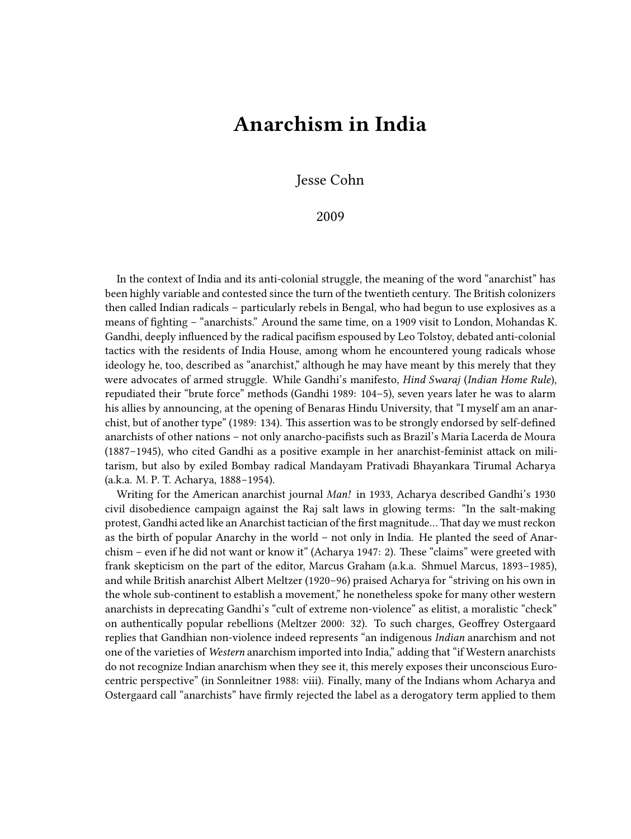## **Anarchism in India**

Jesse Cohn

## 2009

In the context of India and its anti-colonial struggle, the meaning of the word "anarchist" has been highly variable and contested since the turn of the twentieth century. The British colonizers then called Indian radicals – particularly rebels in Bengal, who had begun to use explosives as a means of fighting – "anarchists." Around the same time, on a 1909 visit to London, Mohandas K. Gandhi, deeply influenced by the radical pacifism espoused by Leo Tolstoy, debated anti-colonial tactics with the residents of India House, among whom he encountered young radicals whose ideology he, too, described as "anarchist," although he may have meant by this merely that they were advocates of armed struggle. While Gandhi's manifesto, *Hind Swaraj* (*Indian Home Rule*), repudiated their "brute force" methods (Gandhi 1989: 104–5), seven years later he was to alarm his allies by announcing, at the opening of Benaras Hindu University, that "I myself am an anarchist, but of another type" (1989: 134). This assertion was to be strongly endorsed by self-defined anarchists of other nations – not only anarcho-pacifists such as Brazil's Maria Lacerda de Moura (1887–1945), who cited Gandhi as a positive example in her anarchist-feminist attack on militarism, but also by exiled Bombay radical Mandayam Prativadi Bhayankara Tirumal Acharya (a.k.a. M. P. T. Acharya, 1888–1954).

Writing for the American anarchist journal *Man!* in 1933, Acharya described Gandhi's 1930 civil disobedience campaign against the Raj salt laws in glowing terms: "In the salt-making protest, Gandhi acted like an Anarchist tactician of the first magnitude…That day we must reckon as the birth of popular Anarchy in the world – not only in India. He planted the seed of Anarchism – even if he did not want or know it" (Acharya 1947: 2). These "claims" were greeted with frank skepticism on the part of the editor, Marcus Graham (a.k.a. Shmuel Marcus, 1893–1985), and while British anarchist Albert Meltzer (1920–96) praised Acharya for "striving on his own in the whole sub-continent to establish a movement," he nonetheless spoke for many other western anarchists in deprecating Gandhi's "cult of extreme non-violence" as elitist, a moralistic "check" on authentically popular rebellions (Meltzer 2000: 32). To such charges, Geoffrey Ostergaard replies that Gandhian non-violence indeed represents "an indigenous *Indian* anarchism and not one of the varieties of *Western* anarchism imported into India," adding that "if Western anarchists do not recognize Indian anarchism when they see it, this merely exposes their unconscious Eurocentric perspective" (in Sonnleitner 1988: viii). Finally, many of the Indians whom Acharya and Ostergaard call "anarchists" have firmly rejected the label as a derogatory term applied to them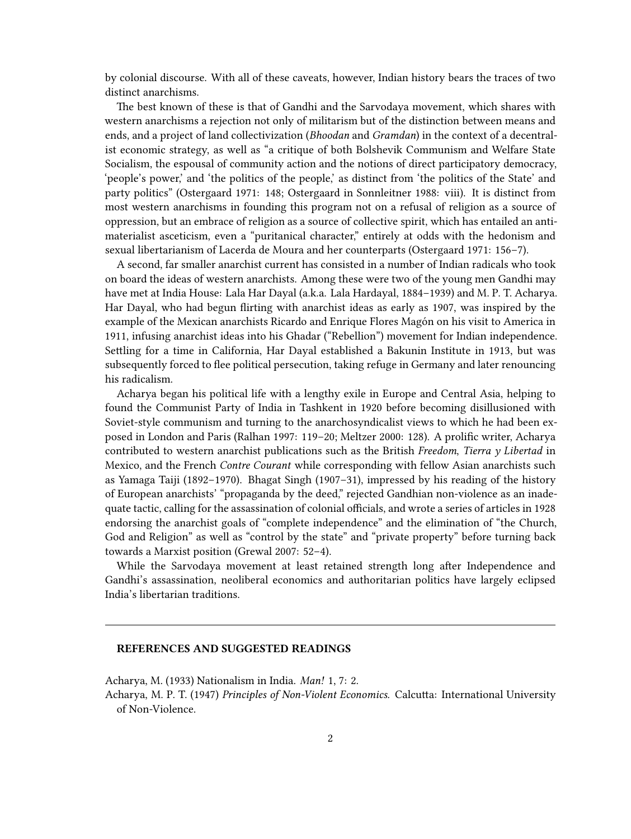by colonial discourse. With all of these caveats, however, Indian history bears the traces of two distinct anarchisms.

The best known of these is that of Gandhi and the Sarvodaya movement, which shares with western anarchisms a rejection not only of militarism but of the distinction between means and ends, and a project of land collectivization (*Bhoodan* and *Gramdan*) in the context of a decentralist economic strategy, as well as "a critique of both Bolshevik Communism and Welfare State Socialism, the espousal of community action and the notions of direct participatory democracy, 'people's power,' and 'the politics of the people,' as distinct from 'the politics of the State' and party politics" (Ostergaard 1971: 148; Ostergaard in Sonnleitner 1988: viii). It is distinct from most western anarchisms in founding this program not on a refusal of religion as a source of oppression, but an embrace of religion as a source of collective spirit, which has entailed an antimaterialist asceticism, even a "puritanical character," entirely at odds with the hedonism and sexual libertarianism of Lacerda de Moura and her counterparts (Ostergaard 1971: 156–7).

A second, far smaller anarchist current has consisted in a number of Indian radicals who took on board the ideas of western anarchists. Among these were two of the young men Gandhi may have met at India House: Lala Har Dayal (a.k.a. Lala Hardayal, 1884–1939) and M. P. T. Acharya. Har Dayal, who had begun flirting with anarchist ideas as early as 1907, was inspired by the example of the Mexican anarchists Ricardo and Enrique Flores Magón on his visit to America in 1911, infusing anarchist ideas into his Ghadar ("Rebellion") movement for Indian independence. Settling for a time in California, Har Dayal established a Bakunin Institute in 1913, but was subsequently forced to flee political persecution, taking refuge in Germany and later renouncing his radicalism.

Acharya began his political life with a lengthy exile in Europe and Central Asia, helping to found the Communist Party of India in Tashkent in 1920 before becoming disillusioned with Soviet-style communism and turning to the anarchosyndicalist views to which he had been exposed in London and Paris (Ralhan 1997: 119–20; Meltzer 2000: 128). A prolific writer, Acharya contributed to western anarchist publications such as the British *Freedom*, *Tierra y Libertad* in Mexico, and the French *Contre Courant* while corresponding with fellow Asian anarchists such as Yamaga Taiji (1892–1970). Bhagat Singh (1907–31), impressed by his reading of the history of European anarchists' "propaganda by the deed," rejected Gandhian non-violence as an inadequate tactic, calling for the assassination of colonial officials, and wrote a series of articles in 1928 endorsing the anarchist goals of "complete independence" and the elimination of "the Church, God and Religion" as well as "control by the state" and "private property" before turning back towards a Marxist position (Grewal 2007: 52–4).

While the Sarvodaya movement at least retained strength long after Independence and Gandhi's assassination, neoliberal economics and authoritarian politics have largely eclipsed India's libertarian traditions.

## **REFERENCES AND SUGGESTED READINGS**

Acharya, M. (1933) Nationalism in India. *Man!* 1, 7: 2.

Acharya, M. P. T. (1947) *Principles of Non-Violent Economics.* Calcutta: International University of Non-Violence.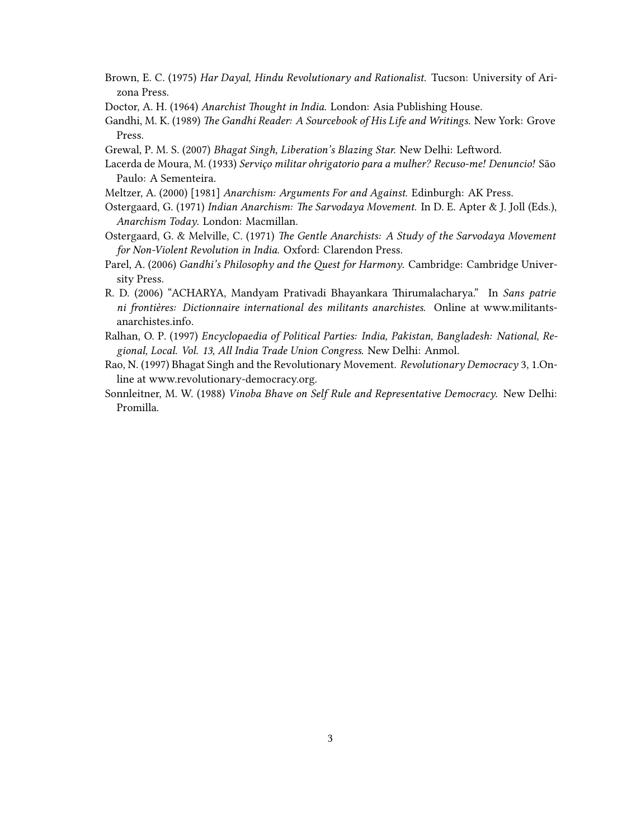- Brown, E. C. (1975) *Har Dayal, Hindu Revolutionary and Rationalist.* Tucson: University of Arizona Press.
- Doctor, A. H. (1964) *Anarchist Thought in India.* London: Asia Publishing House.
- Gandhi, M. K. (1989) *The Gandhi Reader: A Sourcebook of His Life and Writings.* New York: Grove Press.
- Grewal, P. M. S. (2007) *Bhagat Singh, Liberation's Blazing Star.* New Delhi: Leftword.
- Lacerda de Moura, M. (1933) *Serviço militar ohrigatorio para a mulher? Recuso-me! Denuncio!* São Paulo: A Sementeira.
- Meltzer, A. (2000) [1981] *Anarchism: Arguments For and Against*. Edinburgh: AK Press.
- Ostergaard, G. (1971) *Indian Anarchism: The Sarvodaya Movement*. In D. E. Apter & J. Joll (Eds.), *Anarchism Today*. London: Macmillan.
- Ostergaard, G. & Melville, C. (1971) *The Gentle Anarchists: A Study of the Sarvodaya Movement for Non-Violent Revolution in India*. Oxford: Clarendon Press.
- Parel, A. (2006) *Gandhi's Philosophy and the Quest for Harmony*. Cambridge: Cambridge University Press.
- R. D. (2006) "ACHARYA, Mandyam Prativadi Bhayankara Thirumalacharya." In *Sans patrie ni frontières: Dictionnaire international des militants anarchistes*. Online at [www.militants](http://www.militants-anarchistes.info/spip.php?article75)[anarchistes.info](http://www.militants-anarchistes.info/spip.php?article75).
- Ralhan, O. P. (1997) *Encyclopaedia of Political Parties: India, Pakistan, Bangladesh: National, Regional, Local. Vol. 13, All India Trade Union Congress*. New Delhi: Anmol.
- Rao, N. (1997) Bhagat Singh and the Revolutionary Movement. *Revolutionary Democracy* 3, 1.Online at [www.revolutionary-democracy.org](http://www.revolutionary-democracy.org/rdv3n1/bsingh.htm).
- Sonnleitner, M. W. (1988) *Vinoba Bhave on Self Rule and Representative Democracy*. New Delhi: Promilla.